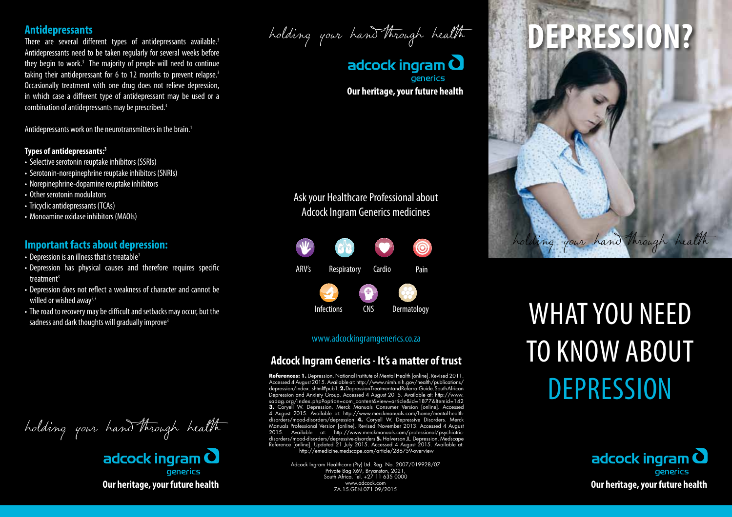### **Antidepressants**

There are several different types of antidepressants available.<sup>3</sup> Antidepressants need to be taken regularly for several weeks before they begin to work.<sup>3</sup> The majority of people will need to continue taking their antidepressant for 6 to 12 months to prevent relapse.<sup>3</sup> Occasionally treatment with one drug does not relieve depression, in which case a different type of antidepressant may be used or a combination of antidepressants may be prescribed.3

Antidepressants work on the neurotransmitters in the brain.<sup>1</sup>

#### **Types of antidepressants:3**

- Selective serotonin reuptake inhibitors (SSRIs)
- Serotonin-norepinephrine reuptake inhibitors (SNRIs)
- Norepinephrine-dopamine reuptake inhibitors
- Other serotonin modulators
- Tricyclic antidepressants (TCAs)
- Monoamine oxidase inhibitors (MAOIs)

### **Important facts about depression:**

- Depression is an illness that is treatable<sup>1</sup>
- Depression has physical causes and therefore requires specific treatment<sup>3</sup>
- Depression does not reflect a weakness of character and cannot be willed or wished away $2,3$
- The road to recovery may be difficult and setbacks may occur, but the

holding your hand through health

adcock ingram  $\mathbf \Omega$ aenerics **Our heritage, your future health**

holding your hand through health

adcock ingram  $\mathbf O$ **generics Our heritage, your future health**

## Ask your Healthcare Professional about Adcock Ingram Generics medicines



### www.adcockingramgenerics.co.za

## **Adcock Ingram Generics - It's a matter of trust**

**References: 1.** Depression. National Institute of Mental Health [online]. Revised 2011. Accessed 4 August 2015. Available at: http://www.nimh.nih.gov/health/publications/ depression/index..shtml#pub1. **2.** Depression Treatment and Referral Guide. South African Depression and Anxiety Group. Accessed 4 August 2015. Available at: http://www. sadag.org/index.php?option=com\_content&view=article&id=1877&Itemid=142 **3.** Coryell W. Depression. Merck Manuals Consumer Version [online]. Accessed 4 August 2015. Available at: http://www.merckmanuals.com/home/mental-healthdisorders/mood-disorders/depression **4.** Coryell W. Depressive Disorders. Merck Manuals Professional Version [online]. Revised November 2013. Accessed 4 August<br>2015. Available at: http://www.merckmanuals.com/professional/psychiatricdisorders/mood-disorders/depressive-disorders **5.** Halverson JL. Depression. Medscape Reference [online]. Updated 21 July 2015. Accessed 4 August 2015. Available at: http://emedicine.medscape.com/article/286759-overview

> Adcock Ingram Healthcare (Pty) Ltd. Reg. No. 2007/019928/07 Private Bag X69, Bryanston, 2021, South Africa. Tel. +27 11 635 0000 www.adcock.com ZA.15.GEN.071 09/2015

# **Depression?**



# whiled of wished away and area away of the difficult and setbacks may occur, but the **the contractions** and the contractions of the road to recovery may be difficult and setbacks may occur, but the **the contractions** of t to know about **DEPRESSION**